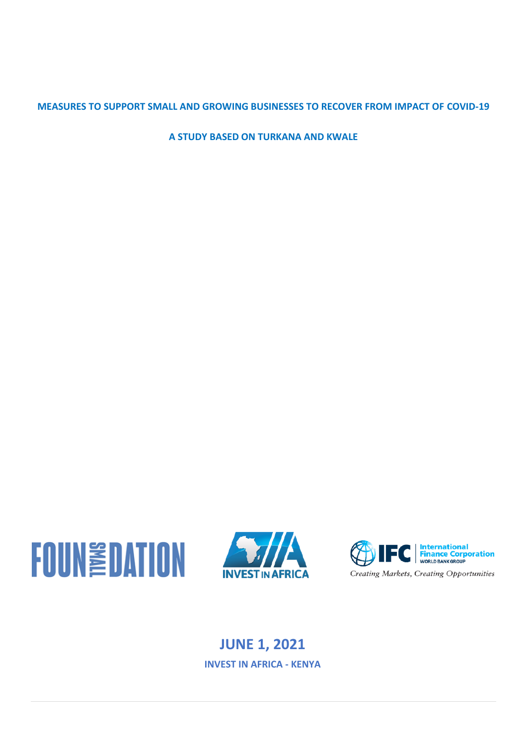# **MEASURES TO SUPPORT SMALL AND GROWING BUSINESSES TO RECOVER FROM IMPACT OF COVID-19**

**A STUDY BASED ON TURKANA AND KWALE**







# **JUNE 1, 2021 INVEST IN AFRICA - KENYA**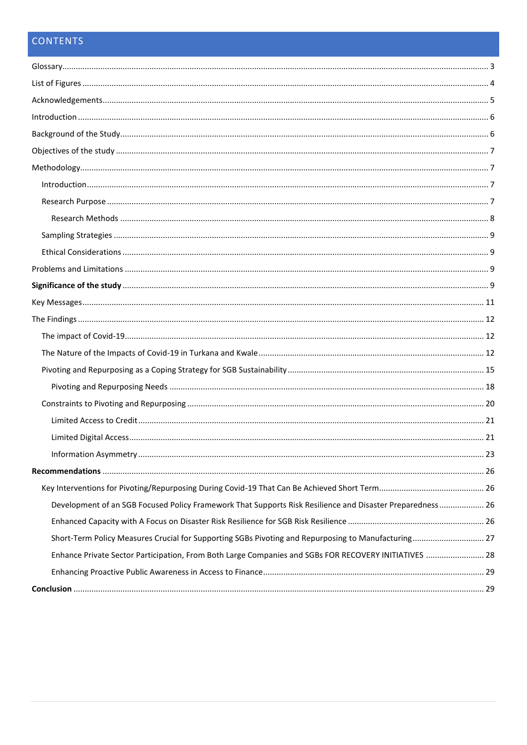# CONTENTS

| Development of an SGB Focused Policy Framework That Supports Risk Resilience and Disaster Preparedness 26 |  |
|-----------------------------------------------------------------------------------------------------------|--|
|                                                                                                           |  |
| Short-Term Policy Measures Crucial for Supporting SGBs Pivoting and Repurposing to Manufacturing 27       |  |
| Enhance Private Sector Participation, From Both Large Companies and SGBs FOR RECOVERY INITIATIVES  28     |  |
|                                                                                                           |  |
|                                                                                                           |  |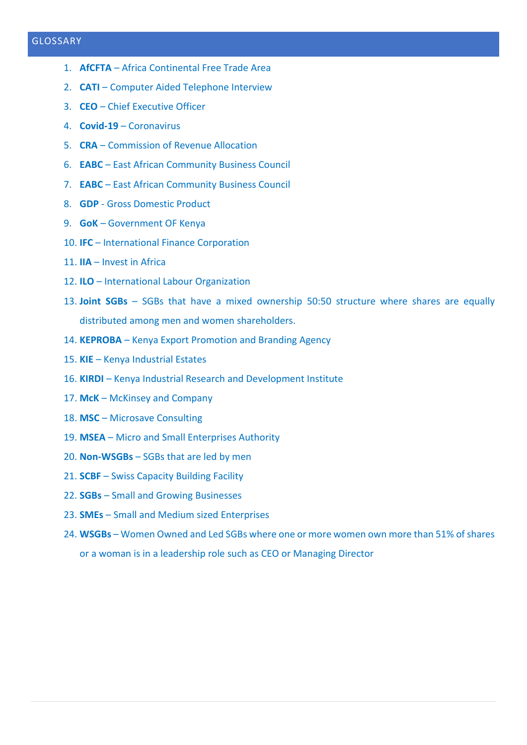## <span id="page-2-0"></span>GLOSSARY

- 1. **AfCFTA** Africa Continental Free Trade Area
- 2. **CATI** Computer Aided Telephone Interview
- 3. **CEO**  Chief Executive Officer
- 4. **Covid-19** Coronavirus
- 5. **CRA**  Commission of Revenue Allocation
- 6. **EABC** East African Community Business Council
- 7. **EABC**  East African Community Business Council
- 8. **GDP** Gross Domestic Product
- 9. **GoK** Government OF Kenya
- 10. **IFC** International Finance Corporation
- 11. **IIA** Invest in Africa
- 12. **ILO**  International Labour Organization
- 13. **Joint SGBs** SGBs that have a mixed ownership 50:50 structure where shares are equally distributed among men and women shareholders.
- 14. **KEPROBA** Kenya Export Promotion and Branding Agency
- 15. **KIE** Kenya Industrial Estates
- 16. **KIRDI** Kenya Industrial Research and Development Institute
- 17. **McK**  McKinsey and Company
- 18. MSC Microsave Consulting
- 19. **MSEA** Micro and Small Enterprises Authority
- 20. **Non-WSGBs** SGBs that are led by men
- 21. **SCBF** Swiss Capacity Building Facility
- 22. **SGBs** Small and Growing Businesses
- 23. **SMEs** Small and Medium sized Enterprises
- 24. **WSGBs** Women Owned and Led SGBs where one or more women own more than 51% of shares or a woman is in a leadership role such as CEO or Managing Director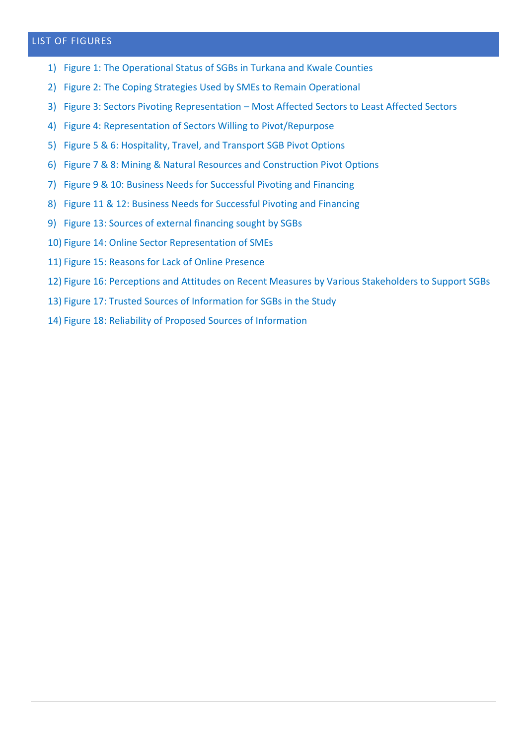## <span id="page-3-0"></span>LIST OF FIGURES

- 1) Figure 1: The Operational Status of SGBs in Turkana and Kwale Counties
- 2) Figure 2: The Coping Strategies Used by SMEs to Remain Operational
- 3) Figure 3: Sectors Pivoting Representation Most Affected Sectors to Least Affected Sectors
- 4) Figure 4: Representation of Sectors Willing to Pivot/Repurpose
- 5) Figure 5 & 6: Hospitality, Travel, and Transport SGB Pivot Options
- 6) Figure 7 & 8: Mining & Natural Resources and Construction Pivot Options
- 7) Figure 9 & 10: Business Needs for Successful Pivoting and Financing
- 8) Figure 11 & 12: Business Needs for Successful Pivoting and Financing
- 9) Figure 13: Sources of external financing sought by SGBs
- 10) Figure 14: Online Sector Representation of SMEs
- 11) Figure 15: Reasons for Lack of Online Presence
- 12) Figure 16: Perceptions and Attitudes on Recent Measures by Various Stakeholders to Support SGBs
- 13) Figure 17: Trusted Sources of Information for SGBs in the Study
- 14) Figure 18: Reliability of Proposed Sources of Information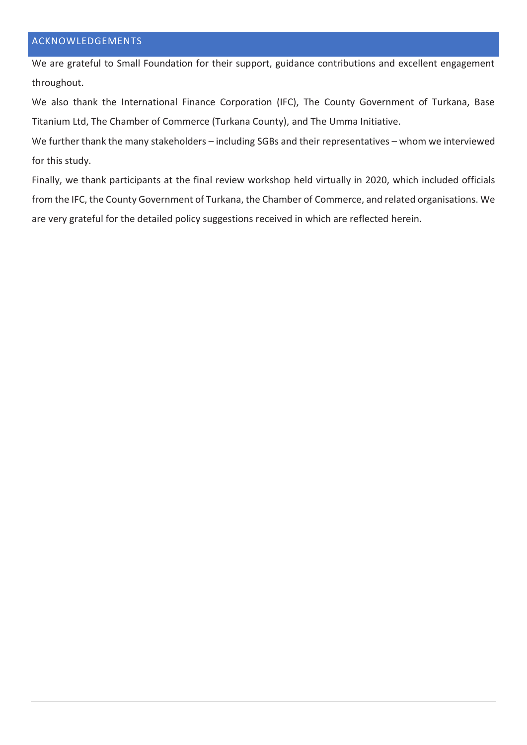## <span id="page-4-0"></span>ACKNOWLEDGEMENTS

We are grateful to Small Foundation for their support, guidance contributions and excellent engagement throughout.

We also thank the International Finance Corporation (IFC), The County Government of Turkana, Base Titanium Ltd, The Chamber of Commerce (Turkana County), and The Umma Initiative.

We further thank the many stakeholders – including SGBs and their representatives – whom we interviewed for this study.

Finally, we thank participants at the final review workshop held virtually in 2020, which included officials from the IFC, the County Government of Turkana, the Chamber of Commerce, and related organisations. We are very grateful for the detailed policy suggestions received in which are reflected herein.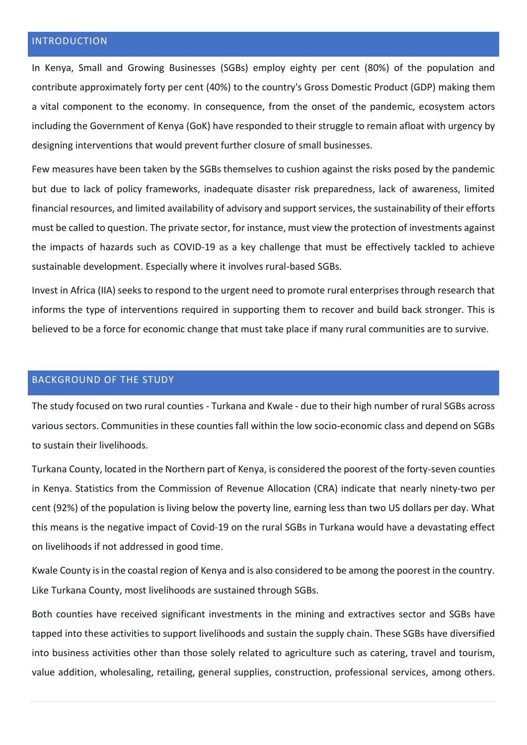## <span id="page-5-0"></span>INTRODUCTION

In Kenya, Small and Growing Businesses (SGBs) employ eighty per cent (80%) of the population and contribute approximately forty per cent (40%) to the country's Gross Domestic Product (GDP) making them a vital component to the economy. In consequence, from the onset of the pandemic, ecosystem actors including the Government of Kenya (GoK) have responded to their struggle to remain afloat with urgency by designing interventions that would prevent further closure of small businesses.

Few measures have been taken by the SGBs themselves to cushion against the risks posed by the pandemic but due to lack of policy frameworks, inadequate disaster risk preparedness, lack of awareness, limited financial resources, and limited availability of advisory and support services, the sustainability of their efforts must be called to question. The private sector, for instance, must view the protection of investments against the impacts of hazards such as COVID-19 as a key challenge that must be effectively tackled to achieve sustainable development. Especially where it involves rural-based SGBs.

Invest in Africa (IIA) seeks to respond to the urgent need to promote rural enterprises through research that informs the type of interventions required in supporting them to recover and build back stronger. This is believed to be a force for economic change that must take place if many rural communities are to survive.

#### <span id="page-5-1"></span>BACKGROUND OF THE STUDY

The study focused on two rural counties - Turkana and Kwale - due to their high number of rural SGBs across various sectors. Communities in these counties fall within the low socio-economic class and depend on SGBs to sustain their livelihoods.

Turkana County, located in the Northern part of Kenya, is considered the poorest of the forty-seven counties in Kenya. Statistics from the Commission of Revenue Allocation (CRA) indicate that nearly ninety-two per cent (92%) of the population is living below the poverty line, earning less than two US dollars per day. What this means is the negative impact of Covid-19 on the rural SGBs in Turkana would have a devastating effect on livelihoods if not addressed in good time.

Kwale County is in the coastal region of Kenya and is also considered to be among the poorest in the country. Like Turkana County, most livelihoods are sustained through SGBs.

Both counties have received significant investments in the mining and extractives sector and SGBs have tapped into these activities to support livelihoods and sustain the supply chain. These SGBs have diversified into business activities other than those solely related to agriculture such as catering, travel and tourism, value addition, wholesaling, retailing, general supplies, construction, professional services, among others.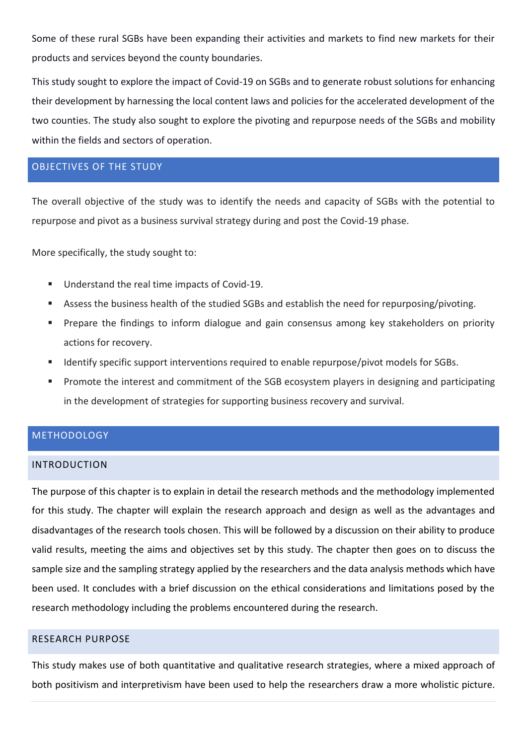Some of these rural SGBs have been expanding their activities and markets to find new markets for their products and services beyond the county boundaries.

This study sought to explore the impact of Covid-19 on SGBs and to generate robust solutions for enhancing their development by harnessing the local content laws and policies for the accelerated development of the two counties. The study also sought to explore the pivoting and repurpose needs of the SGBs and mobility within the fields and sectors of operation.

## <span id="page-6-0"></span>OBJECTIVES OF THE STUDY

The overall objective of the study was to identify the needs and capacity of SGBs with the potential to repurpose and pivot as a business survival strategy during and post the Covid-19 phase.

More specifically, the study sought to:

- Understand the real time impacts of Covid-19.
- Assess the business health of the studied SGBs and establish the need for repurposing/pivoting.
- Prepare the findings to inform dialogue and gain consensus among key stakeholders on priority actions for recovery.
- Identify specific support interventions required to enable repurpose/pivot models for SGBs.
- Promote the interest and commitment of the SGB ecosystem players in designing and participating in the development of strategies for supporting business recovery and survival.

# <span id="page-6-1"></span>**METHODOLOGY**

#### <span id="page-6-2"></span>INTRODUCTION

The purpose of this chapter is to explain in detail the research methods and the methodology implemented for this study. The chapter will explain the research approach and design as well as the advantages and disadvantages of the research tools chosen. This will be followed by a discussion on their ability to produce valid results, meeting the aims and objectives set by this study. The chapter then goes on to discuss the sample size and the sampling strategy applied by the researchers and the data analysis methods which have been used. It concludes with a brief discussion on the ethical considerations and limitations posed by the research methodology including the problems encountered during the research.

### <span id="page-6-3"></span>RESEARCH PURPOSE

This study makes use of both quantitative and qualitative research strategies, where a mixed approach of both positivism and interpretivism have been used to help the researchers draw a more wholistic picture.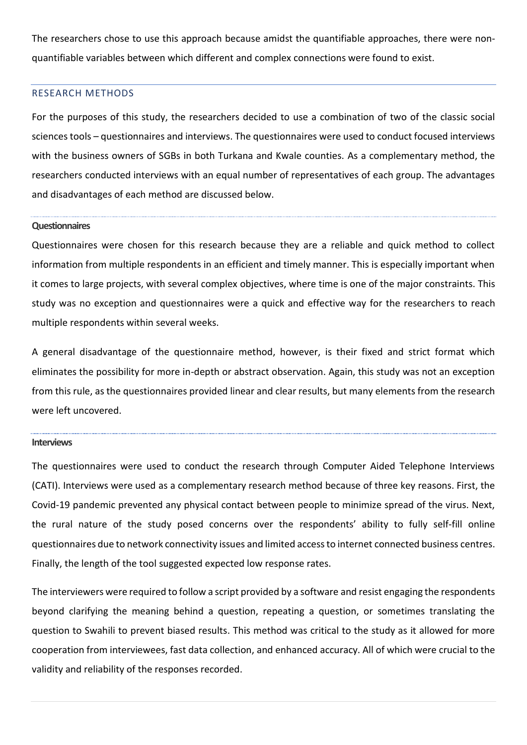The researchers chose to use this approach because amidst the quantifiable approaches, there were nonquantifiable variables between which different and complex connections were found to exist.

#### <span id="page-7-0"></span>RESEARCH METHODS

For the purposes of this study, the researchers decided to use a combination of two of the classic social sciences tools – questionnaires and interviews. The questionnaires were used to conduct focused interviews with the business owners of SGBs in both Turkana and Kwale counties. As a complementary method, the researchers conducted interviews with an equal number of representatives of each group. The advantages and disadvantages of each method are discussed below.

#### **Questionnaires**

Questionnaires were chosen for this research because they are a reliable and quick method to collect information from multiple respondents in an efficient and timely manner. This is especially important when it comes to large projects, with several complex objectives, where time is one of the major constraints. This study was no exception and questionnaires were a quick and effective way for the researchers to reach multiple respondents within several weeks.

A general disadvantage of the questionnaire method, however, is their fixed and strict format which eliminates the possibility for more in-depth or abstract observation. Again, this study was not an exception from this rule, as the questionnaires provided linear and clear results, but many elements from the research were left uncovered.

#### **Interviews**

The questionnaires were used to conduct the research through Computer Aided Telephone Interviews (CATI). Interviews were used as a complementary research method because of three key reasons. First, the Covid-19 pandemic prevented any physical contact between people to minimize spread of the virus. Next, the rural nature of the study posed concerns over the respondents' ability to fully self-fill online questionnaires due to network connectivity issues and limited access to internet connected business centres. Finally, the length of the tool suggested expected low response rates.

The interviewers were required to follow a script provided by a software and resist engaging the respondents beyond clarifying the meaning behind a question, repeating a question, or sometimes translating the question to Swahili to prevent biased results. This method was critical to the study as it allowed for more cooperation from interviewees, fast data collection, and enhanced accuracy. All of which were crucial to the validity and reliability of the responses recorded.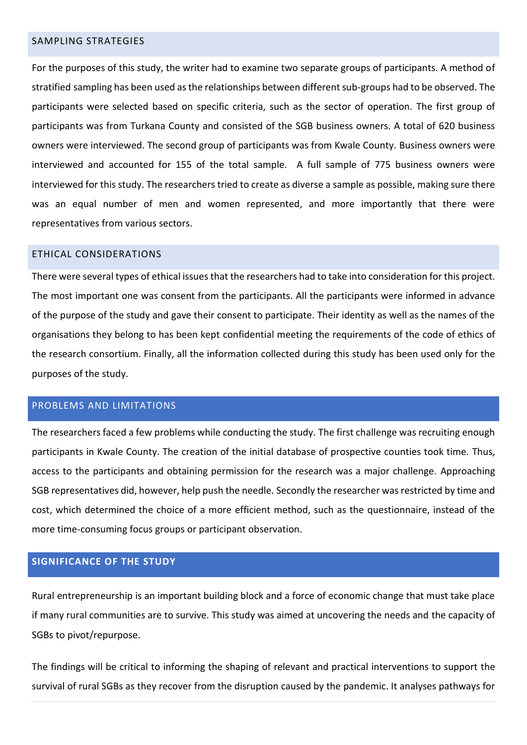#### <span id="page-8-0"></span>SAMPLING STRATEGIES

For the purposes of this study, the writer had to examine two separate groups of participants. A method of stratified sampling has been used as the relationships between different sub-groups had to be observed. The participants were selected based on specific criteria, such as the sector of operation. The first group of participants was from Turkana County and consisted of the SGB business owners. A total of 620 business owners were interviewed. The second group of participants was from Kwale County. Business owners were interviewed and accounted for 155 of the total sample. A full sample of 775 business owners were interviewed for this study. The researchers tried to create as diverse a sample as possible, making sure there was an equal number of men and women represented, and more importantly that there were representatives from various sectors.

#### <span id="page-8-1"></span>ETHICAL CONSIDERATIONS

There were several types of ethical issues that the researchers had to take into consideration for this project. The most important one was consent from the participants. All the participants were informed in advance of the purpose of the study and gave their consent to participate. Their identity as well as the names of the organisations they belong to has been kept confidential meeting the requirements of the code of ethics of the research consortium. Finally, all the information collected during this study has been used only for the purposes of the study.

## <span id="page-8-2"></span>PROBLEMS AND LIMITATIONS

The researchers faced a few problems while conducting the study. The first challenge was recruiting enough participants in Kwale County. The creation of the initial database of prospective counties took time. Thus, access to the participants and obtaining permission for the research was a major challenge. Approaching SGB representatives did, however, help push the needle. Secondly the researcher was restricted by time and cost, which determined the choice of a more efficient method, such as the questionnaire, instead of the more time-consuming focus groups or participant observation.

### <span id="page-8-3"></span>**SIGNIFICANCE OF THE STUDY**

Rural entrepreneurship is an important building block and a force of economic change that must take place if many rural communities are to survive. This study was aimed at uncovering the needs and the capacity of SGBs to pivot/repurpose.

The findings will be critical to informing the shaping of relevant and practical interventions to support the survival of rural SGBs as they recover from the disruption caused by the pandemic. It analyses pathways for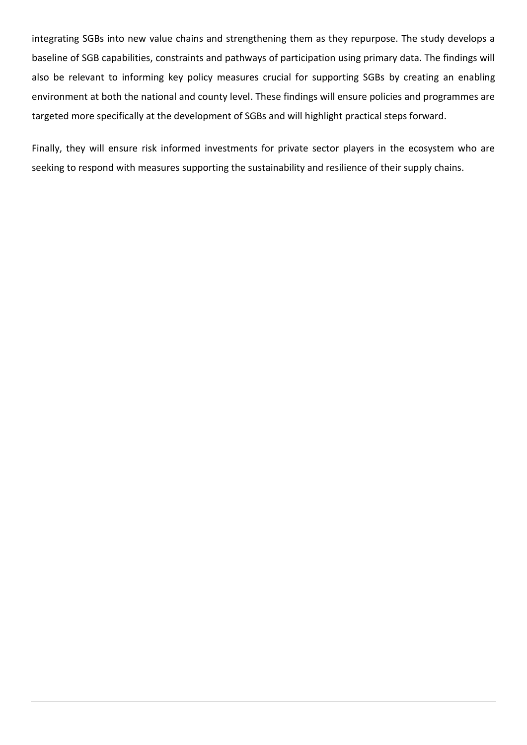integrating SGBs into new value chains and strengthening them as they repurpose. The study develops a baseline of SGB capabilities, constraints and pathways of participation using primary data. The findings will also be relevant to informing key policy measures crucial for supporting SGBs by creating an enabling environment at both the national and county level. These findings will ensure policies and programmes are targeted more specifically at the development of SGBs and will highlight practical steps forward.

Finally, they will ensure risk informed investments for private sector players in the ecosystem who are seeking to respond with measures supporting the sustainability and resilience of their supply chains.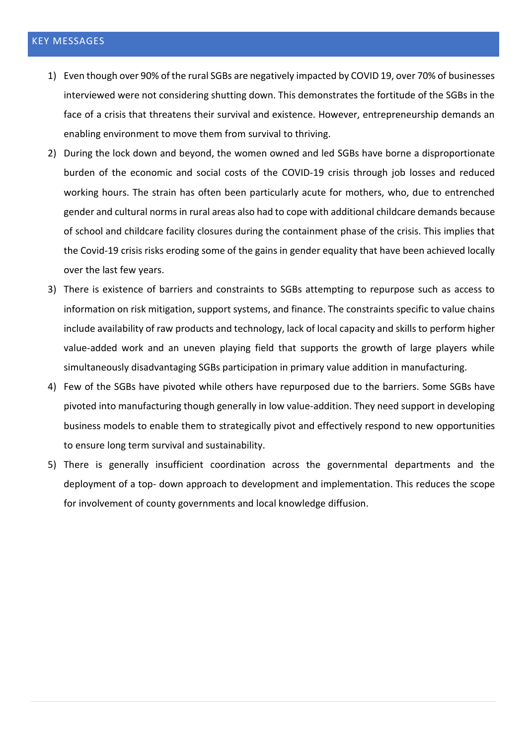- <span id="page-10-0"></span>1) Even though over 90% of the rural SGBs are negatively impacted by COVID 19, over 70% of businesses interviewed were not considering shutting down. This demonstrates the fortitude of the SGBs in the face of a crisis that threatens their survival and existence. However, entrepreneurship demands an enabling environment to move them from survival to thriving.
- 2) During the lock down and beyond, the women owned and led SGBs have borne a disproportionate burden of the economic and social costs of the COVID-19 crisis through job losses and reduced working hours. The strain has often been particularly acute for mothers, who, due to entrenched gender and cultural norms in rural areas also had to cope with additional childcare demands because of school and childcare facility closures during the containment phase of the crisis. This implies that the Covid-19 crisis risks eroding some of the gains in gender equality that have been achieved locally over the last few years.
- 3) There is existence of barriers and constraints to SGBs attempting to repurpose such as access to information on risk mitigation, support systems, and finance. The constraints specific to value chains include availability of raw products and technology, lack of local capacity and skills to perform higher value-added work and an uneven playing field that supports the growth of large players while simultaneously disadvantaging SGBs participation in primary value addition in manufacturing.
- 4) Few of the SGBs have pivoted while others have repurposed due to the barriers. Some SGBs have pivoted into manufacturing though generally in low value-addition. They need support in developing business models to enable them to strategically pivot and effectively respond to new opportunities to ensure long term survival and sustainability.
- 5) There is generally insufficient coordination across the governmental departments and the deployment of a top- down approach to development and implementation. This reduces the scope for involvement of county governments and local knowledge diffusion.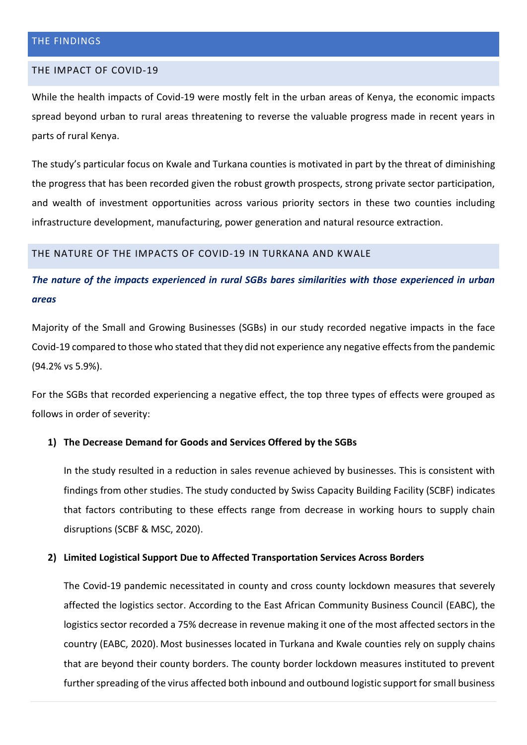#### <span id="page-11-1"></span><span id="page-11-0"></span>THE IMPACT OF COVID-19

While the health impacts of Covid-19 were mostly felt in the urban areas of Kenya, the economic impacts spread beyond urban to rural areas threatening to reverse the valuable progress made in recent years in parts of rural Kenya.

The study's particular focus on Kwale and Turkana counties is motivated in part by the threat of diminishing the progress that has been recorded given the robust growth prospects, strong private sector participation, and wealth of investment opportunities across various priority sectors in these two counties including infrastructure development, manufacturing, power generation and natural resource extraction.

#### <span id="page-11-2"></span>THE NATURE OF THE IMPACTS OF COVID-19 IN TURKANA AND KWALE

*The nature of the impacts experienced in rural SGBs bares similarities with those experienced in urban areas*

Majority of the Small and Growing Businesses (SGBs) in our study recorded negative impacts in the face Covid-19 compared to those who stated that they did not experience any negative effects from the pandemic (94.2% vs 5.9%).

For the SGBs that recorded experiencing a negative effect, the top three types of effects were grouped as follows in order of severity:

### **1) The Decrease Demand for Goods and Services Offered by the SGBs**

In the study resulted in a reduction in sales revenue achieved by businesses. This is consistent with findings from other studies. The study conducted by Swiss Capacity Building Facility (SCBF) indicates that factors contributing to these effects range from decrease in working hours to supply chain disruptions (SCBF & MSC, 2020).

#### **2) Limited Logistical Support Due to Affected Transportation Services Across Borders**

The Covid-19 pandemic necessitated in county and cross county lockdown measures that severely affected the logistics sector. According to the East African Community Business Council (EABC), the logistics sector recorded a 75% decrease in revenue making it one of the most affected sectors in the country (EABC, 2020). Most businesses located in Turkana and Kwale counties rely on supply chains that are beyond their county borders. The county border lockdown measures instituted to prevent further spreading of the virus affected both inbound and outbound logistic support for small business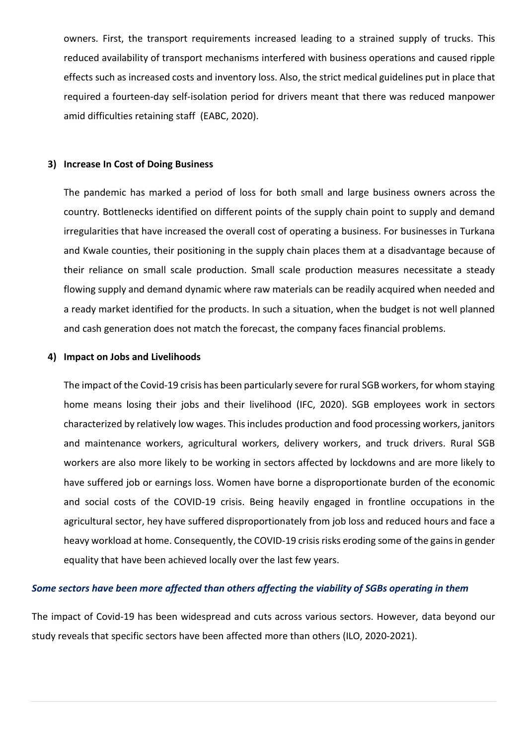owners. First, the transport requirements increased leading to a strained supply of trucks. This reduced availability of transport mechanisms interfered with business operations and caused ripple effects such as increased costs and inventory loss. Also, the strict medical guidelines put in place that required a fourteen-day self-isolation period for drivers meant that there was reduced manpower amid difficulties retaining staff (EABC, 2020).

#### **3) Increase In Cost of Doing Business**

The pandemic has marked a period of loss for both small and large business owners across the country. Bottlenecks identified on different points of the supply chain point to supply and demand irregularities that have increased the overall cost of operating a business. For businesses in Turkana and Kwale counties, their positioning in the supply chain places them at a disadvantage because of their reliance on small scale production. Small scale production measures necessitate a steady flowing supply and demand dynamic where raw materials can be readily acquired when needed and a ready market identified for the products. In such a situation, when the budget is not well planned and cash generation does not match the forecast, the company faces financial problems.

#### **4) Impact on Jobs and Livelihoods**

The impact of the Covid-19 crisis has been particularly severe for rural SGB workers, for whom staying home means losing their jobs and their livelihood (IFC, 2020). SGB employees work in sectors characterized by relatively low wages. This includes production and food processing workers, janitors and maintenance workers, agricultural workers, delivery workers, and truck drivers. Rural SGB workers are also more likely to be working in sectors affected by lockdowns and are more likely to have suffered job or earnings loss. Women have borne a disproportionate burden of the economic and social costs of the COVID-19 crisis. Being heavily engaged in frontline occupations in the agricultural sector, hey have suffered disproportionately from job loss and reduced hours and face a heavy workload at home. Consequently, the COVID-19 crisis risks eroding some of the gains in gender equality that have been achieved locally over the last few years.

#### *Some sectors have been more affected than others affecting the viability of SGBs operating in them*

The impact of Covid-19 has been widespread and cuts across various sectors. However, data beyond our study reveals that specific sectors have been affected more than others (ILO, 2020-2021).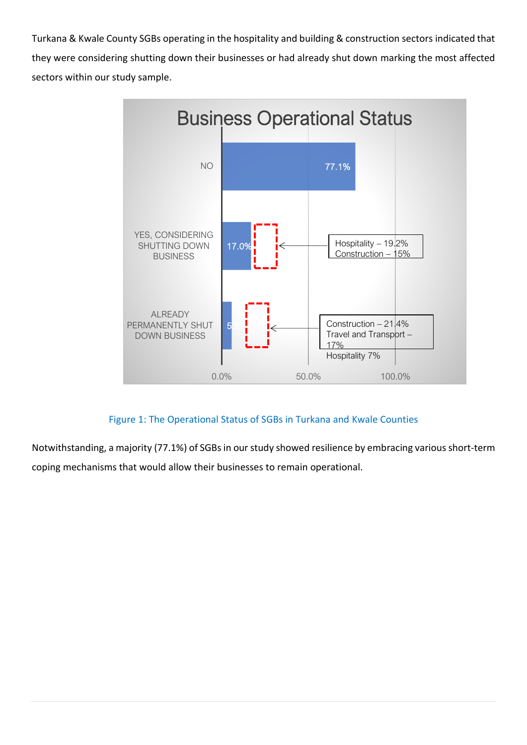Turkana & Kwale County SGBs operating in the hospitality and building & construction sectors indicated that they were considering shutting down their businesses or had already shut down marking the most affected sectors within our study sample.



# Figure 1: The Operational Status of SGBs in Turkana and Kwale Counties

Notwithstanding, a majority (77.1%) of SGBs in our study showed resilience by embracing various short-term coping mechanisms that would allow their businesses to remain operational.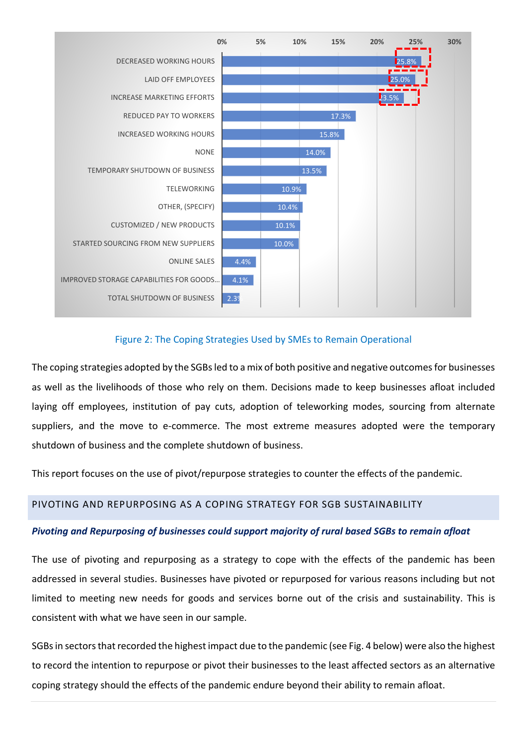

## Figure 2: The Coping Strategies Used by SMEs to Remain Operational

The coping strategies adopted by the SGBs led to a mix of both positive and negative outcomes for businesses as well as the livelihoods of those who rely on them. Decisions made to keep businesses afloat included laying off employees, institution of pay cuts, adoption of teleworking modes, sourcing from alternate suppliers, and the move to e-commerce. The most extreme measures adopted were the temporary shutdown of business and the complete shutdown of business.

This report focuses on the use of pivot/repurpose strategies to counter the effects of the pandemic.

## <span id="page-14-0"></span>PIVOTING AND REPURPOSING AS A COPING STRATEGY FOR SGB SUSTAINABILITY

## *Pivoting and Repurposing of businesses could support majority of rural based SGBs to remain afloat*

The use of pivoting and repurposing as a strategy to cope with the effects of the pandemic has been addressed in several studies. Businesses have pivoted or repurposed for various reasons including but not limited to meeting new needs for goods and services borne out of the crisis and sustainability. This is consistent with what we have seen in our sample.

SGBs in sectors that recorded the highest impact due to the pandemic (see Fig. 4 below) were also the highest to record the intention to repurpose or pivot their businesses to the least affected sectors as an alternative coping strategy should the effects of the pandemic endure beyond their ability to remain afloat.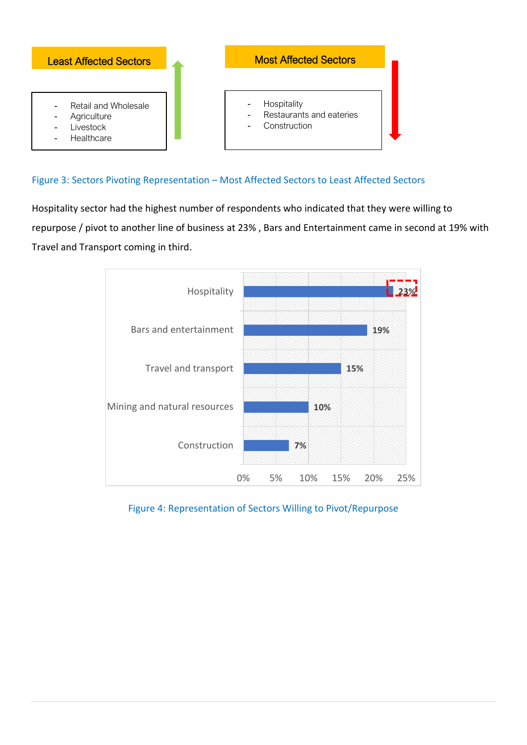

# Figure 3: Sectors Pivoting Representation – Most Affected Sectors to Least Affected Sectors

Hospitality sector had the highest number of respondents who indicated that they were willing to repurpose / pivot to another line of business at 23% , Bars and Entertainment came in second at 19% with Travel and Transport coming in third.



Figure 4: Representation of Sectors Willing to Pivot/Repurpose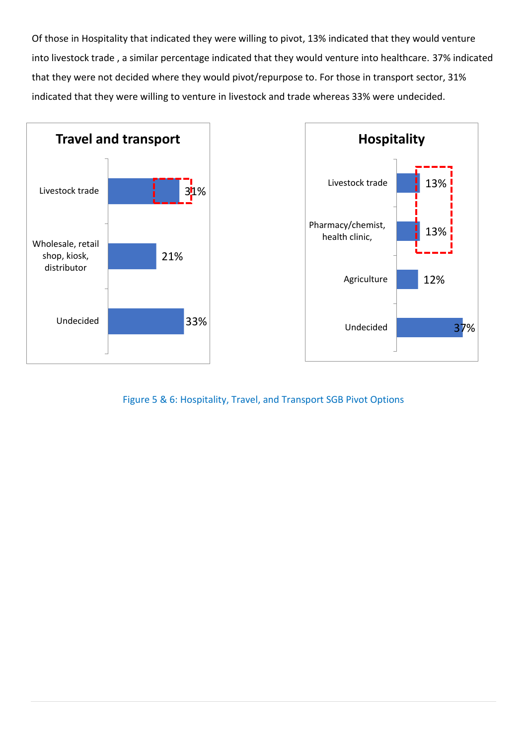Of those in Hospitality that indicated they were willing to pivot, 13% indicated that they would venture into livestock trade , a similar percentage indicated that they would venture into healthcare. 37% indicated that they were not decided where they would pivot/repurpose to. For those in transport sector, 31% indicated that they were willing to venture in livestock and trade whereas 33% were undecided.





Figure 5 & 6: Hospitality, Travel, and Transport SGB Pivot Options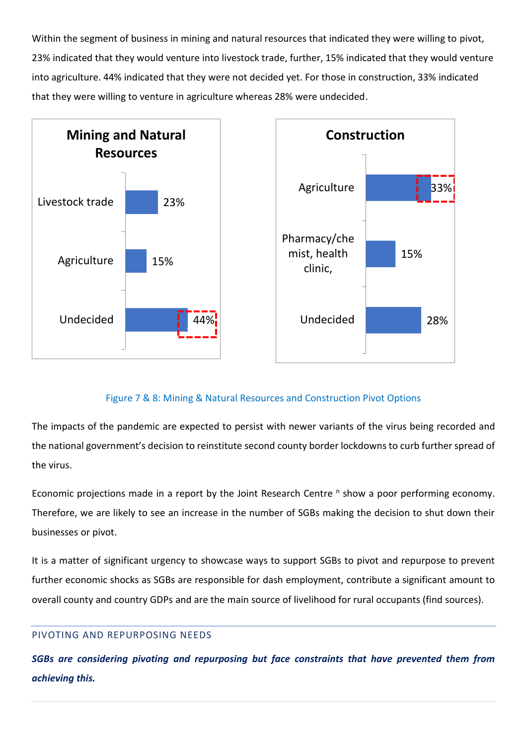Within the segment of business in mining and natural resources that indicated they were willing to pivot, 23% indicated that they would venture into livestock trade, further, 15% indicated that they would venture into agriculture. 44% indicated that they were not decided yet. For those in construction, 33% indicated that they were willing to venture in agriculture whereas 28% were undecided.



# Figure 7 & 8: Mining & Natural Resources and Construction Pivot Options

The impacts of the pandemic are expected to persist with newer variants of the virus being recorded and the national government's decision to reinstitute second county border lockdowns to curb further spread of the virus.

Economic projections made in a report by the Joint Research Centre <sup>n</sup> show a poor performing economy. Therefore, we are likely to see an increase in the number of SGBs making the decision to shut down their businesses or pivot.

It is a matter of significant urgency to showcase ways to support SGBs to pivot and repurpose to prevent further economic shocks as SGBs are responsible for dash employment, contribute a significant amount to overall county and country GDPs and are the main source of livelihood for rural occupants (find sources).

## <span id="page-17-0"></span>PIVOTING AND REPURPOSING NEEDS

*SGBs are considering pivoting and repurposing but face constraints that have prevented them from achieving this.*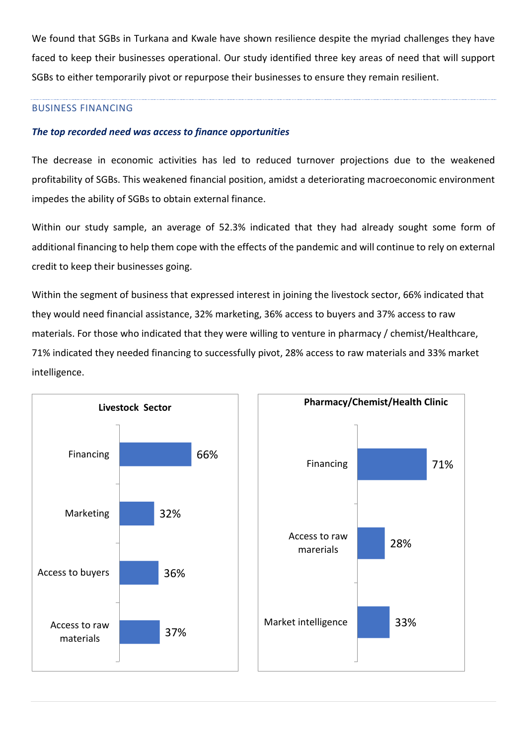We found that SGBs in Turkana and Kwale have shown resilience despite the myriad challenges they have faced to keep their businesses operational. Our study identified three key areas of need that will support SGBs to either temporarily pivot or repurpose their businesses to ensure they remain resilient.

### BUSINESS FINANCING

## *The top recorded need was access to finance opportunities*

The decrease in economic activities has led to reduced turnover projections due to the weakened profitability of SGBs. This weakened financial position, amidst a deteriorating macroeconomic environment impedes the ability of SGBs to obtain external finance.

Within our study sample, an average of 52.3% indicated that they had already sought some form of additional financing to help them cope with the effects of the pandemic and will continue to rely on external credit to keep their businesses going.

Within the segment of business that expressed interest in joining the livestock sector, 66% indicated that they would need financial assistance, 32% marketing, 36% access to buyers and 37% access to raw materials. For those who indicated that they were willing to venture in pharmacy / chemist/Healthcare, 71% indicated they needed financing to successfully pivot, 28% access to raw materials and 33% market intelligence.

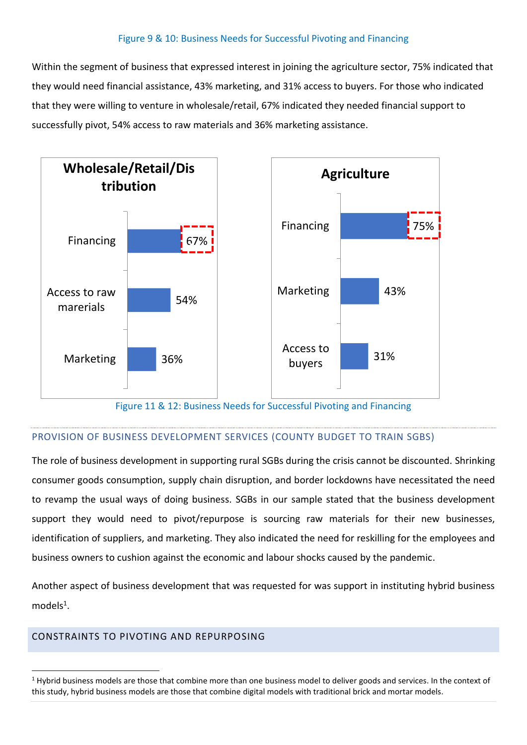## Figure 9 & 10: Business Needs for Successful Pivoting and Financing

Within the segment of business that expressed interest in joining the agriculture sector, 75% indicated that they would need financial assistance, 43% marketing, and 31% access to buyers. For those who indicated that they were willing to venture in wholesale/retail, 67% indicated they needed financial support to successfully pivot, 54% access to raw materials and 36% marketing assistance.



#### Figure 11 & 12: Business Needs for Successful Pivoting and Financing

### PROVISION OF BUSINESS DEVELOPMENT SERVICES (COUNTY BUDGET TO TRAIN SGBS)

The role of business development in supporting rural SGBs during the crisis cannot be discounted. Shrinking consumer goods consumption, supply chain disruption, and border lockdowns have necessitated the need to revamp the usual ways of doing business. SGBs in our sample stated that the business development support they would need to pivot/repurpose is sourcing raw materials for their new businesses, identification of suppliers, and marketing. They also indicated the need for reskilling for the employees and business owners to cushion against the economic and labour shocks caused by the pandemic.

Another aspect of business development that was requested for was support in instituting hybrid business models<sup>1</sup>.

### <span id="page-19-0"></span>CONSTRAINTS TO PIVOTING AND REPURPOSING

 $1$  Hybrid business models are those that combine more than one business model to deliver goods and services. In the context of this study, hybrid business models are those that combine digital models with traditional brick and mortar models.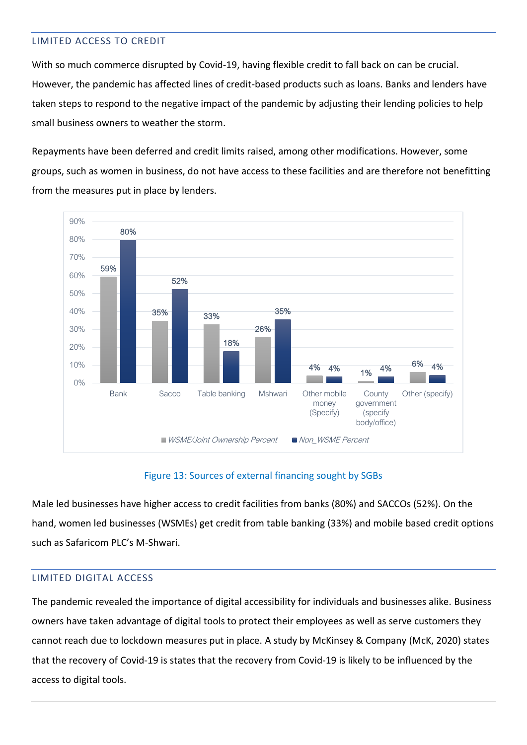# <span id="page-20-0"></span>LIMITED ACCESS TO CREDIT

With so much commerce disrupted by Covid-19, having flexible credit to fall back on can be crucial. However, the pandemic has affected lines of credit-based products such as loans. Banks and lenders have taken steps to respond to the negative impact of the pandemic by adjusting their lending policies to help small business owners to weather the storm.

Repayments have been deferred and credit limits raised, among other modifications. However, some groups, such as women in business, do not have access to these facilities and are therefore not benefitting from the measures put in place by lenders.



## Figure 13: Sources of external financing sought by SGBs

Male led businesses have higher access to credit facilities from banks (80%) and SACCOs (52%). On the hand, women led businesses (WSMEs) get credit from table banking (33%) and mobile based credit options such as Safaricom PLC's M-Shwari.

## <span id="page-20-1"></span>LIMITED DIGITAL ACCESS

The pandemic revealed the importance of digital accessibility for individuals and businesses alike. Business owners have taken advantage of digital tools to protect their employees as well as serve customers they cannot reach due to lockdown measures put in place. A study by McKinsey & Company (McK, 2020) states that the recovery of Covid-19 is states that the recovery from Covid-19 is likely to be influenced by the access to digital tools.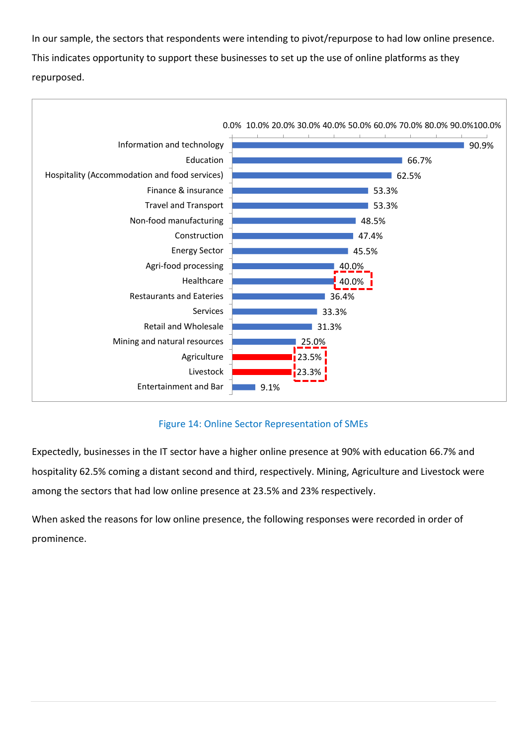In our sample, the sectors that respondents were intending to pivot/repurpose to had low online presence. This indicates opportunity to support these businesses to set up the use of online platforms as they repurposed.



# Figure 14: Online Sector Representation of SMEs

Expectedly, businesses in the IT sector have a higher online presence at 90% with education 66.7% and hospitality 62.5% coming a distant second and third, respectively. Mining, Agriculture and Livestock were among the sectors that had low online presence at 23.5% and 23% respectively.

When asked the reasons for low online presence, the following responses were recorded in order of prominence.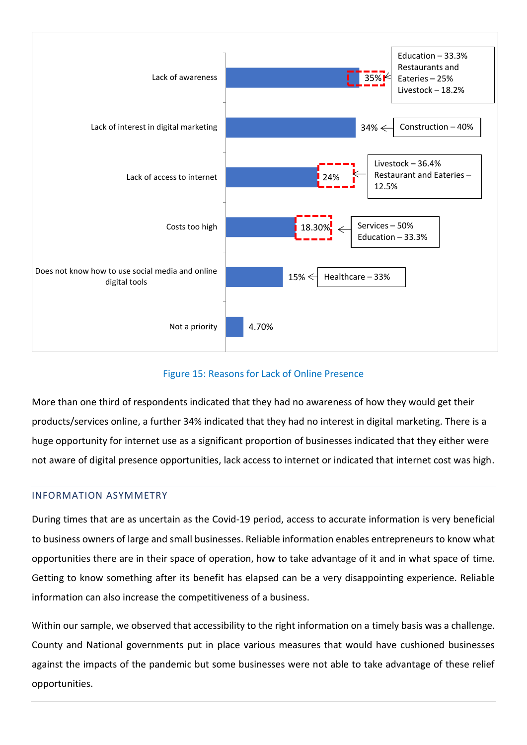

## Figure 15: Reasons for Lack of Online Presence

More than one third of respondents indicated that they had no awareness of how they would get their products/services online, a further 34% indicated that they had no interest in digital marketing. There is a huge opportunity for internet use as a significant proportion of businesses indicated that they either were not aware of digital presence opportunities, lack access to internet or indicated that internet cost was high.

## <span id="page-22-0"></span>INFORMATION ASYMMETRY

During times that are as uncertain as the Covid-19 period, access to accurate information is very beneficial to business owners of large and small businesses. Reliable information enables entrepreneurs to know what opportunities there are in their space of operation, how to take advantage of it and in what space of time. Getting to know something after its benefit has elapsed can be a very disappointing experience. Reliable information can also increase the competitiveness of a business.

Within our sample, we observed that accessibility to the right information on a timely basis was a challenge. County and National governments put in place various measures that would have cushioned businesses against the impacts of the pandemic but some businesses were not able to take advantage of these relief opportunities.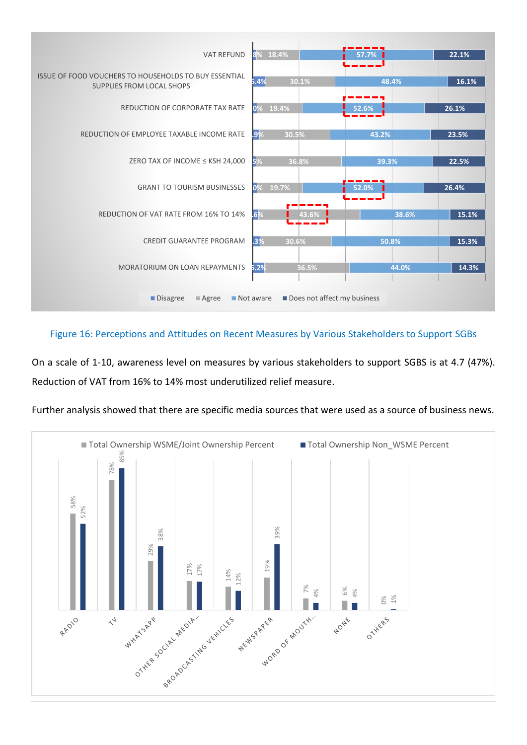

## Figure 16: Perceptions and Attitudes on Recent Measures by Various Stakeholders to Support SGBs

On a scale of 1-10, awareness level on measures by various stakeholders to support SGBS is at 4.7 (47%). Reduction of VAT from 16% to 14% most underutilized relief measure.



Further analysis showed that there are specific media sources that were used as a source of business news.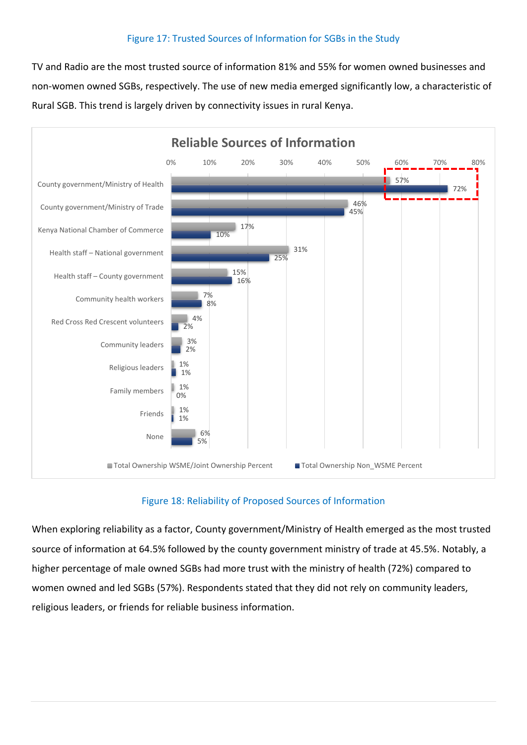## Figure 17: Trusted Sources of Information for SGBs in the Study

TV and Radio are the most trusted source of information 81% and 55% for women owned businesses and non-women owned SGBs, respectively. The use of new media emerged significantly low, a characteristic of Rural SGB. This trend is largely driven by connectivity issues in rural Kenya.



# Figure 18: Reliability of Proposed Sources of Information

When exploring reliability as a factor, County government/Ministry of Health emerged as the most trusted source of information at 64.5% followed by the county government ministry of trade at 45.5%. Notably, a higher percentage of male owned SGBs had more trust with the ministry of health (72%) compared to women owned and led SGBs (57%). Respondents stated that they did not rely on community leaders, religious leaders, or friends for reliable business information.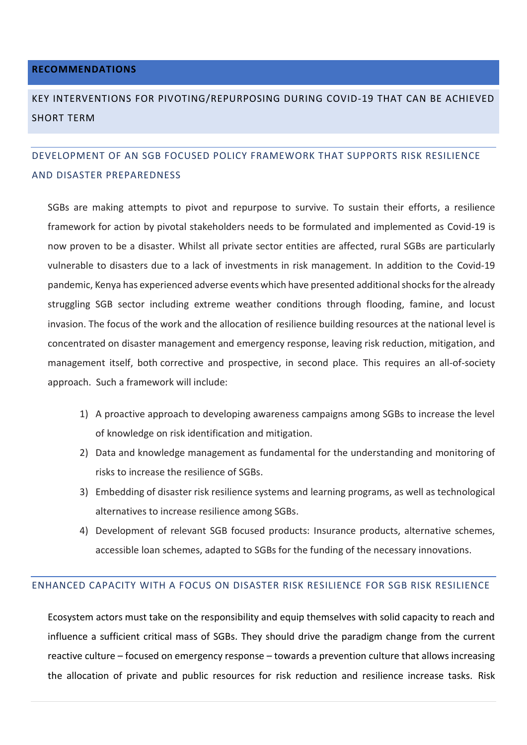#### <span id="page-25-0"></span>**RECOMMENDATIONS**

# <span id="page-25-1"></span>KEY INTERVENTIONS FOR PIVOTING/REPURPOSING DURING COVID-19 THAT CAN BE ACHIEVED SHORT TERM

# <span id="page-25-2"></span>DEVELOPMENT OF AN SGB FOCUSED POLICY FRAMEWORK THAT SUPPORTS RISK RESILIENCE AND DISASTER PREPAREDNESS

SGBs are making attempts to pivot and repurpose to survive. To sustain their efforts, a resilience framework for action by pivotal stakeholders needs to be formulated and implemented as Covid-19 is now proven to be a disaster. Whilst all private sector entities are affected, rural SGBs are particularly vulnerable to disasters due to a lack of investments in risk management. In addition to the Covid-19 pandemic, Kenya has experienced adverse events which have presented additional shocks for the already struggling SGB sector including extreme weather conditions through flooding, famine, and locust invasion. The focus of the work and the allocation of resilience building resources at the national level is concentrated on disaster management and emergency response, leaving risk reduction, mitigation, and management itself, both corrective and prospective, in second place. This requires an all-of-society approach. Such a framework will include:

- 1) A proactive approach to developing awareness campaigns among SGBs to increase the level of knowledge on risk identification and mitigation.
- 2) Data and knowledge management as fundamental for the understanding and monitoring of risks to increase the resilience of SGBs.
- 3) Embedding of disaster risk resilience systems and learning programs, as well as technological alternatives to increase resilience among SGBs.
- 4) Development of relevant SGB focused products: Insurance products, alternative schemes, accessible loan schemes, adapted to SGBs for the funding of the necessary innovations.

### <span id="page-25-3"></span>ENHANCED CAPACITY WITH A FOCUS ON DISASTER RISK RESILIENCE FOR SGB RISK RESILIENCE

Ecosystem actors must take on the responsibility and equip themselves with solid capacity to reach and influence a sufficient critical mass of SGBs. They should drive the paradigm change from the current reactive culture – focused on emergency response – towards a prevention culture that allows increasing the allocation of private and public resources for risk reduction and resilience increase tasks. Risk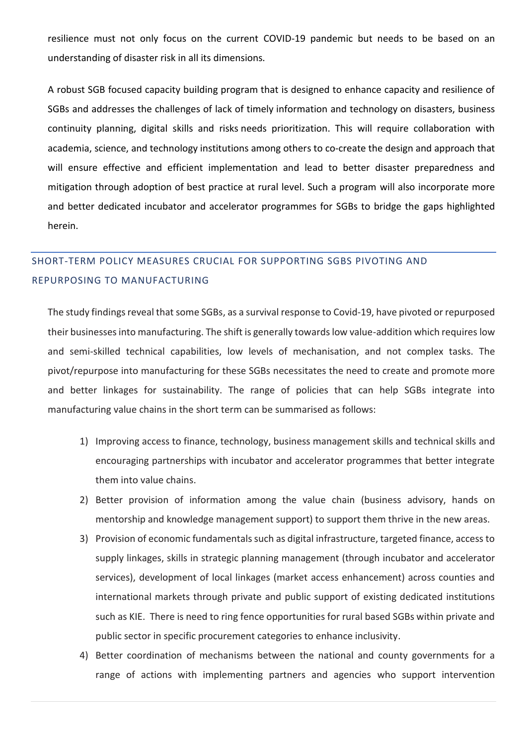resilience must not only focus on the current COVID-19 pandemic but needs to be based on an understanding of disaster risk in all its dimensions.

A robust SGB focused capacity building program that is designed to enhance capacity and resilience of SGBs and addresses the challenges of lack of timely information and technology on disasters, business continuity planning, digital skills and risks needs prioritization. This will require collaboration with academia, science, and technology institutions among others to co-create the design and approach that will ensure effective and efficient implementation and lead to better disaster preparedness and mitigation through adoption of best practice at rural level. Such a program will also incorporate more and better dedicated incubator and accelerator programmes for SGBs to bridge the gaps highlighted herein.

# <span id="page-26-0"></span>SHORT-TERM POLICY MEASURES CRUCIAL FOR SUPPORTING SGBS PIVOTING AND REPURPOSING TO MANUFACTURING

The study findings reveal that some SGBs, as a survival response to Covid-19, have pivoted or repurposed their businesses into manufacturing. The shift is generally towards low value-addition which requires low and semi-skilled technical capabilities, low levels of mechanisation, and not complex tasks. The pivot/repurpose into manufacturing for these SGBs necessitates the need to create and promote more and better linkages for sustainability. The range of policies that can help SGBs integrate into manufacturing value chains in the short term can be summarised as follows:

- 1) Improving access to finance, technology, business management skills and technical skills and encouraging partnerships with incubator and accelerator programmes that better integrate them into value chains.
- 2) Better provision of information among the value chain (business advisory, hands on mentorship and knowledge management support) to support them thrive in the new areas.
- 3) Provision of economic fundamentals such as digital infrastructure, targeted finance, access to supply linkages, skills in strategic planning management (through incubator and accelerator services), development of local linkages (market access enhancement) across counties and international markets through private and public support of existing dedicated institutions such as KIE. There is need to ring fence opportunities for rural based SGBs within private and public sector in specific procurement categories to enhance inclusivity.
- 4) Better coordination of mechanisms between the national and county governments for a range of actions with implementing partners and agencies who support intervention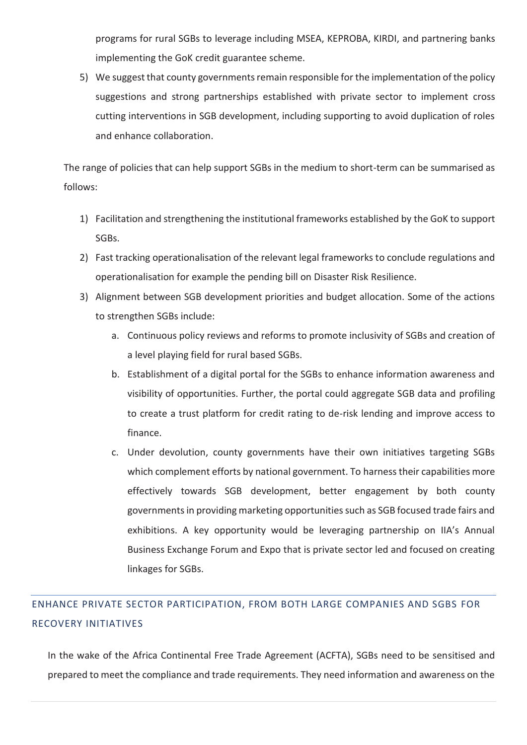programs for rural SGBs to leverage including MSEA, KEPROBA, KIRDI, and partnering banks implementing the GoK credit guarantee scheme.

5) We suggest that county governments remain responsible for the implementation of the policy suggestions and strong partnerships established with private sector to implement cross cutting interventions in SGB development, including supporting to avoid duplication of roles and enhance collaboration.

The range of policies that can help support SGBs in the medium to short-term can be summarised as follows:

- 1) Facilitation and strengthening the institutional frameworks established by the GoK to support SGBs.
- 2) Fast tracking operationalisation of the relevant legal frameworks to conclude regulations and operationalisation for example the pending bill on Disaster Risk Resilience.
- 3) Alignment between SGB development priorities and budget allocation. Some of the actions to strengthen SGBs include:
	- a. Continuous policy reviews and reforms to promote inclusivity of SGBs and creation of a level playing field for rural based SGBs.
	- b. Establishment of a digital portal for the SGBs to enhance information awareness and visibility of opportunities. Further, the portal could aggregate SGB data and profiling to create a trust platform for credit rating to de-risk lending and improve access to finance.
	- c. Under devolution, county governments have their own initiatives targeting SGBs which complement efforts by national government. To harness their capabilities more effectively towards SGB development, better engagement by both county governments in providing marketing opportunities such as SGB focused trade fairs and exhibitions. A key opportunity would be leveraging partnership on IIA's Annual Business Exchange Forum and Expo that is private sector led and focused on creating linkages for SGBs.

# <span id="page-27-0"></span>ENHANCE PRIVATE SECTOR PARTICIPATION, FROM BOTH LARGE COMPANIES AND SGBS FOR RECOVERY INITIATIVES

In the wake of the Africa Continental Free Trade Agreement (ACFTA), SGBs need to be sensitised and prepared to meet the compliance and trade requirements. They need information and awareness on the